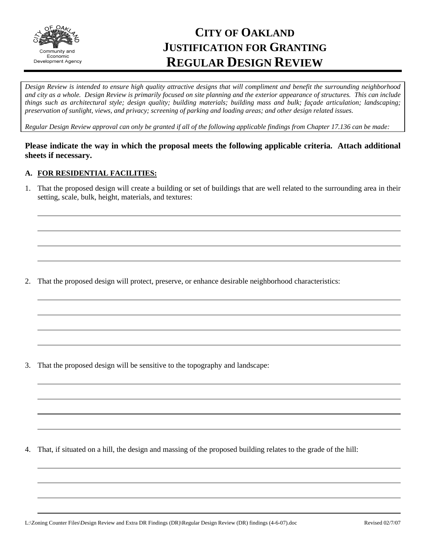

# **CITY OF OAKLAND JUSTIFICATION FOR GRANTING REGULAR DESIGN REVIEW**

*Design Review is intended to ensure high quality attractive designs that will compliment and benefit the surrounding neighborhood and city as a whole. Design Review is primarily focused on site planning and the exterior appearance of structures. This can include things such as architectural style; design quality; building materials; building mass and bulk; façade articulation; landscaping; preservation of sunlight, views, and privacy; screening of parking and loading areas; and other design related issues.* 

*Regular Design Review approval can only be granted if all of the following applicable findings from Chapter 17.136 can be made:*

# **Please indicate the way in which the proposal meets the following applicable criteria. Attach additional sheets if necessary.**

## **A. FOR RESIDENTIAL FACILITIES:**

1. That the proposed design will create a building or set of buildings that are well related to the surrounding area in their setting, scale, bulk, height, materials, and textures:

2. That the proposed design will protect, preserve, or enhance desirable neighborhood characteristics:

3. That the proposed design will be sensitive to the topography and landscape:

4. That, if situated on a hill, the design and massing of the proposed building relates to the grade of the hill: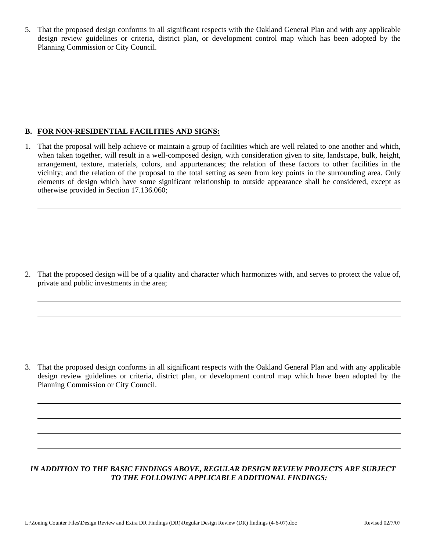5. That the proposed design conforms in all significant respects with the Oakland General Plan and with any applicable design review guidelines or criteria, district plan, or development control map which has been adopted by the Planning Commission or City Council.

# **B. FOR NON-RESIDENTIAL FACILITIES AND SIGNS:**

1. That the proposal will help achieve or maintain a group of facilities which are well related to one another and which, when taken together, will result in a well-composed design, with consideration given to site, landscape, bulk, height, arrangement, texture, materials, colors, and appurtenances; the relation of these factors to other facilities in the vicinity; and the relation of the proposal to the total setting as seen from key points in the surrounding area. Only elements of design which have some significant relationship to outside appearance shall be considered, except as otherwise provided in Section 17.136.060;

2. That the proposed design will be of a quality and character which harmonizes with, and serves to protect the value of, private and public investments in the area;

3. That the proposed design conforms in all significant respects with the Oakland General Plan and with any applicable design review guidelines or criteria, district plan, or development control map which have been adopted by the Planning Commission or City Council.

# *IN ADDITION TO THE BASIC FINDINGS ABOVE, REGULAR DESIGN REVIEW PROJECTS ARE SUBJECT TO THE FOLLOWING APPLICABLE ADDITIONAL FINDINGS:*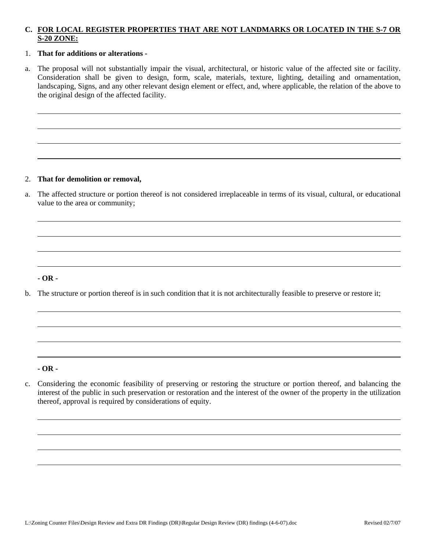# **C. FOR LOCAL REGISTER PROPERTIES THAT ARE NOT LANDMARKS OR LOCATED IN THE S-7 OR S-20 ZONE:**

## 1. **That for additions or alterations -**

a. The proposal will not substantially impair the visual, architectural, or historic value of the affected site or facility. Consideration shall be given to design, form, scale, materials, texture, lighting, detailing and ornamentation, landscaping, Signs, and any other relevant design element or effect, and, where applicable, the relation of the above to the original design of the affected facility.

#### 2. **That for demolition or removal,**

a. The affected structure or portion thereof is not considered irreplaceable in terms of its visual, cultural, or educational value to the area or community;

#### **- OR -**

b. The structure or portion thereof is in such condition that it is not architecturally feasible to preserve or restore it;

#### **- OR -**

c. Considering the economic feasibility of preserving or restoring the structure or portion thereof, and balancing the interest of the public in such preservation or restoration and the interest of the owner of the property in the utilization thereof, approval is required by considerations of equity.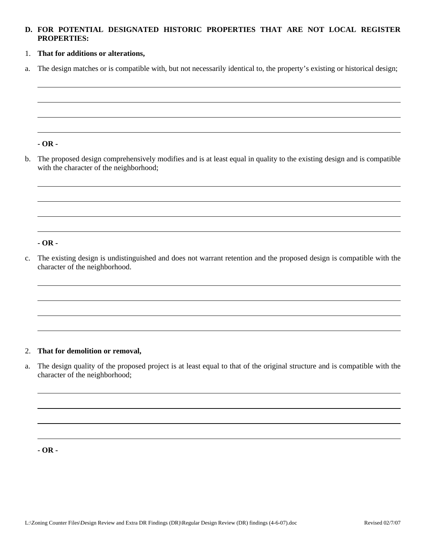# **D. FOR POTENTIAL DESIGNATED HISTORIC PROPERTIES THAT ARE NOT LOCAL REGISTER PROPERTIES:**

# 1. **That for additions or alterations,**

a. The design matches or is compatible with, but not necessarily identical to, the property's existing or historical design;

#### **- OR -**

b. The proposed design comprehensively modifies and is at least equal in quality to the existing design and is compatible with the character of the neighborhood;

# **- OR -**

c. The existing design is undistinguished and does not warrant retention and the proposed design is compatible with the character of the neighborhood.

## 2. **That for demolition or removal,**

a. The design quality of the proposed project is at least equal to that of the original structure and is compatible with the character of the neighborhood;

**- OR -**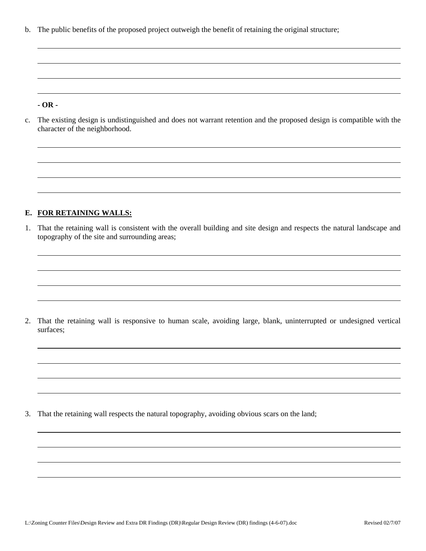b. The public benefits of the proposed project outweigh the benefit of retaining the original structure;

#### **- OR -**

c. The existing design is undistinguished and does not warrant retention and the proposed design is compatible with the character of the neighborhood.

#### **E. FOR RETAINING WALLS:**

1. That the retaining wall is consistent with the overall building and site design and respects the natural landscape and topography of the site and surrounding areas;

2. That the retaining wall is responsive to human scale, avoiding large, blank, uninterrupted or undesigned vertical surfaces;

3. That the retaining wall respects the natural topography, avoiding obvious scars on the land;